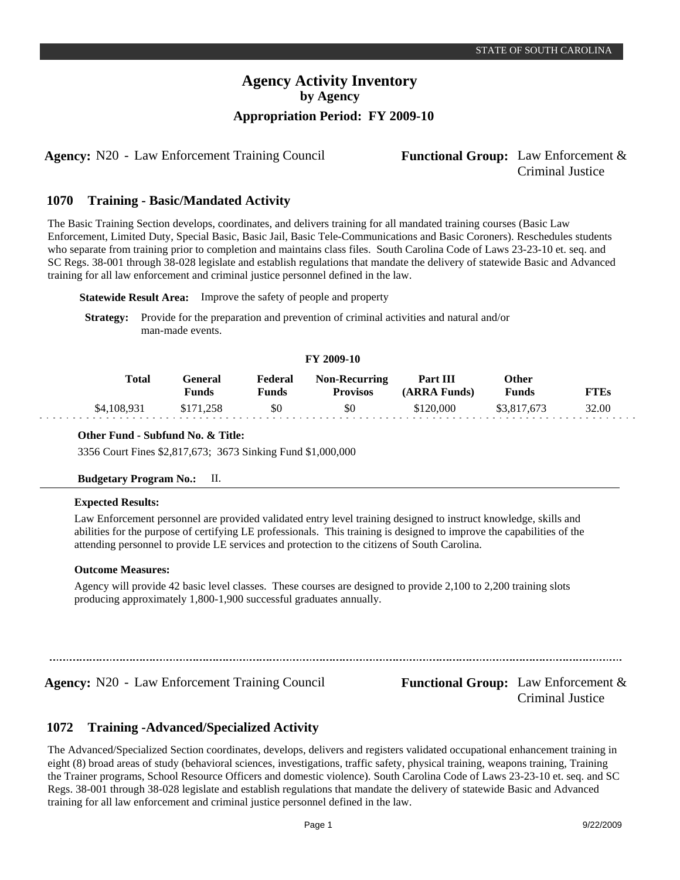**Agency:** N20 - Law Enforcement Training Council **Functional Group:** Law Enforcement &

# Criminal Justice

#### **Training - Basic/Mandated Activity 1070**

The Basic Training Section develops, coordinates, and delivers training for all mandated training courses (Basic Law Enforcement, Limited Duty, Special Basic, Basic Jail, Basic Tele-Communications and Basic Coroners). Reschedules students who separate from training prior to completion and maintains class files. South Carolina Code of Laws 23-23-10 et. seq. and SC Regs. 38-001 through 38-028 legislate and establish regulations that mandate the delivery of statewide Basic and Advanced training for all law enforcement and criminal justice personnel defined in the law.

**Statewide Result Area:** Improve the safety of people and property

**Strategy:** Provide for the preparation and prevention of criminal activities and natural and/or man-made events.

### **FY 2009-10**

| <b>Total</b> | General<br><sup>v</sup> unds | Federal<br>पunds | <b>Non-Recurring</b><br><b>Provisos</b> | Part III<br><b>ARRA Funds</b> | Other<br><b>Funds</b> | TTEs  |
|--------------|------------------------------|------------------|-----------------------------------------|-------------------------------|-----------------------|-------|
| \$4,108,931  | \$171.258                    | \$0              | \$0                                     | 120.000                       | \$3,817,673           | 32.00 |

### **Other Fund - Subfund No. & Title:**

3356 Court Fines \$2,817,673; 3673 Sinking Fund \$1,000,000

### **Budgetary Program No.:** II.

### **Expected Results:**

Law Enforcement personnel are provided validated entry level training designed to instruct knowledge, skills and abilities for the purpose of certifying LE professionals. This training is designed to improve the capabilities of the attending personnel to provide LE services and protection to the citizens of South Carolina.

### **Outcome Measures:**

Agency will provide 42 basic level classes. These courses are designed to provide 2,100 to 2,200 training slots producing approximately 1,800-1,900 successful graduates annually.

Agency: N20 - Law Enforcement Training Council Functional Group: Law Enforcement &

# Criminal Justice

#### **Training -Advanced/Specialized Activity 1072**

The Advanced/Specialized Section coordinates, develops, delivers and registers validated occupational enhancement training in eight (8) broad areas of study (behavioral sciences, investigations, traffic safety, physical training, weapons training, Training the Trainer programs, School Resource Officers and domestic violence). South Carolina Code of Laws 23-23-10 et. seq. and SC Regs. 38-001 through 38-028 legislate and establish regulations that mandate the delivery of statewide Basic and Advanced training for all law enforcement and criminal justice personnel defined in the law.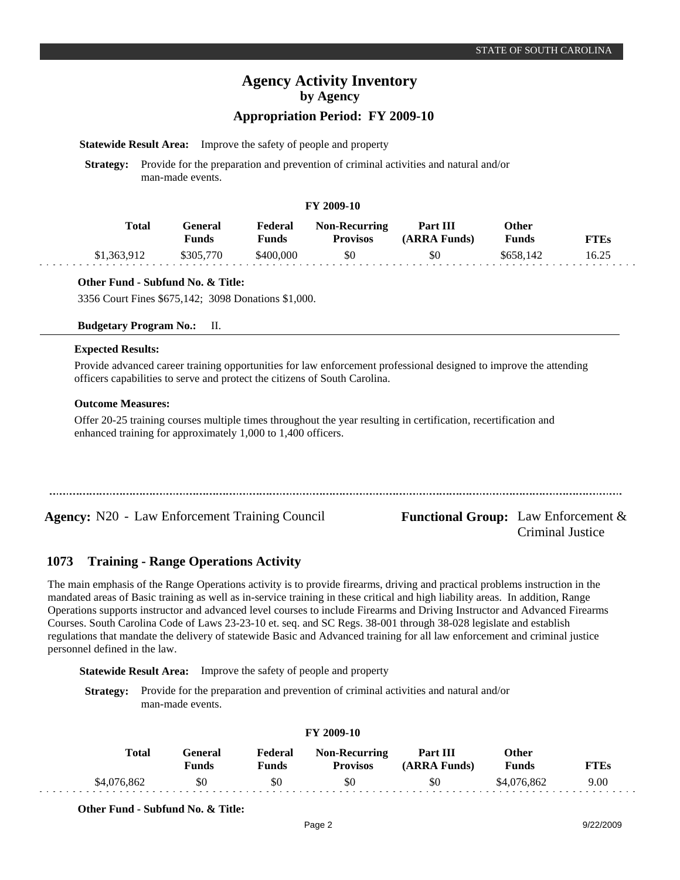# **Agency Activity Inventory by Agency**

## **Appropriation Period: FY 2009-10**

**Statewide Result Area:** Improve the safety of people and property

**Strategy:** Provide for the preparation and prevention of criminal activities and natural and/or man-made events.

### **FY 2009-10**

| Total       | <del>`e</del> neral<br><b>Funds</b> | Federal<br>Funds | <b>Non-Recurring</b><br><b>Provisos</b> | Part III<br>(ARRA Funds) | Other<br>Funds | <b>WTEs</b> |
|-------------|-------------------------------------|------------------|-----------------------------------------|--------------------------|----------------|-------------|
| \$1,363,912 | \$305,770                           | \$400,000        | \$0                                     | \$0                      | \$658.142      | 16.25       |

### **Other Fund - Subfund No. & Title:**

3356 Court Fines \$675,142; 3098 Donations \$1,000.

### **Budgetary Program No.:** II.

### **Expected Results:**

Provide advanced career training opportunities for law enforcement professional designed to improve the attending officers capabilities to serve and protect the citizens of South Carolina.

### **Outcome Measures:**

Offer 20-25 training courses multiple times throughout the year resulting in certification, recertification and enhanced training for approximately 1,000 to 1,400 officers.

**Agency:** N20 - Law Enforcement Training Council **Functional Group:** Law Enforcement &

# Criminal Justice

#### **Training - Range Operations Activity 1073**

The main emphasis of the Range Operations activity is to provide firearms, driving and practical problems instruction in the mandated areas of Basic training as well as in-service training in these critical and high liability areas. In addition, Range Operations supports instructor and advanced level courses to include Firearms and Driving Instructor and Advanced Firearms Courses. South Carolina Code of Laws 23-23-10 et. seq. and SC Regs. 38-001 through 38-028 legislate and establish regulations that mandate the delivery of statewide Basic and Advanced training for all law enforcement and criminal justice personnel defined in the law.

**Statewide Result Area:** Improve the safety of people and property

**Strategy:** Provide for the preparation and prevention of criminal activities and natural and/or man-made events.

| Total       | General<br><b>Funds</b> | Federal<br>Funds | <b>Non-Recurring</b><br><b>Provisos</b> | Part III<br>(ARRA Funds) | Other<br><b>Funds</b> | <b>FTEs</b> |  |
|-------------|-------------------------|------------------|-----------------------------------------|--------------------------|-----------------------|-------------|--|
| \$4,076,862 | \$0                     | \$0              | \$0                                     | \$0                      | \$4,076,862           | 9.00        |  |

**FY 2009-10**

**Other Fund - Subfund No. & Title:**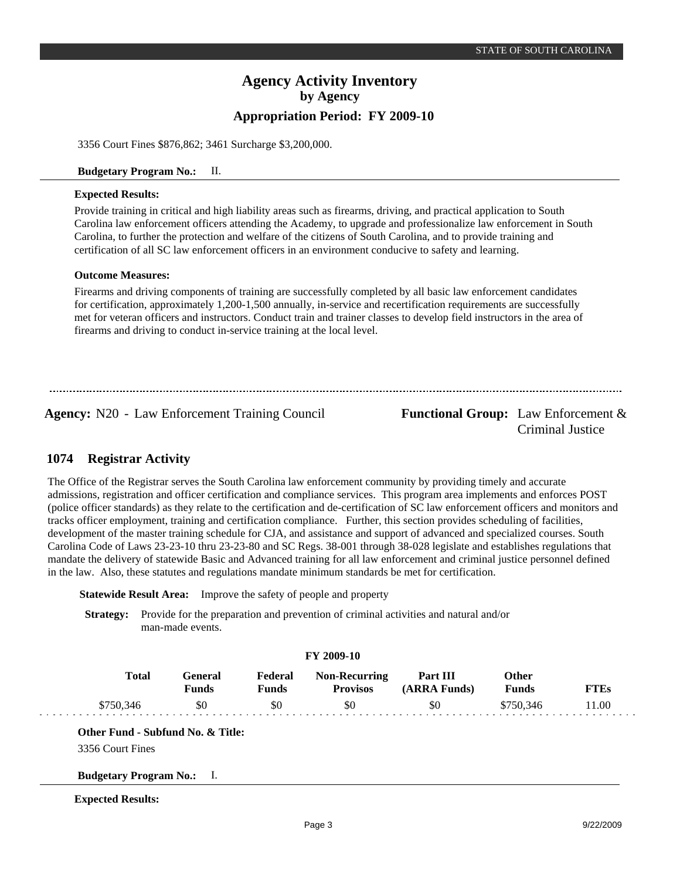3356 Court Fines \$876,862; 3461 Surcharge \$3,200,000.

### **Budgetary Program No.:** II.

### **Expected Results:**

Provide training in critical and high liability areas such as firearms, driving, and practical application to South Carolina law enforcement officers attending the Academy, to upgrade and professionalize law enforcement in South Carolina, to further the protection and welfare of the citizens of South Carolina, and to provide training and certification of all SC law enforcement officers in an environment conducive to safety and learning.

### **Outcome Measures:**

Firearms and driving components of training are successfully completed by all basic law enforcement candidates for certification, approximately 1,200-1,500 annually, in-service and recertification requirements are successfully met for veteran officers and instructors. Conduct train and trainer classes to develop field instructors in the area of firearms and driving to conduct in-service training at the local level.

**Agency:** N20 - Law Enforcement Training Council **Functional Group:** Law Enforcement &

Criminal Justice

#### **Registrar Activity 1074**

The Office of the Registrar serves the South Carolina law enforcement community by providing timely and accurate admissions, registration and officer certification and compliance services. This program area implements and enforces POST (police officer standards) as they relate to the certification and de-certification of SC law enforcement officers and monitors and tracks officer employment, training and certification compliance. Further, this section provides scheduling of facilities, development of the master training schedule for CJA, and assistance and support of advanced and specialized courses. South Carolina Code of Laws 23-23-10 thru 23-23-80 and SC Regs. 38-001 through 38-028 legislate and establishes regulations that mandate the delivery of statewide Basic and Advanced training for all law enforcement and criminal justice personnel defined in the law. Also, these statutes and regulations mandate minimum standards be met for certification.

**Statewide Result Area:** Improve the safety of people and property

**Strategy:** Provide for the preparation and prevention of criminal activities and natural and/or man-made events.

|           |                         |                         | FY 2009-10                              |                          |                       |             |
|-----------|-------------------------|-------------------------|-----------------------------------------|--------------------------|-----------------------|-------------|
| Total     | General<br><b>Funds</b> | Federal<br><b>Funds</b> | <b>Non-Recurring</b><br><b>Provisos</b> | Part III<br>(ARRA Funds) | Other<br><b>Funds</b> | <b>FTEs</b> |
| \$750.346 | \$0                     | \$0                     | \$0                                     | \$0                      | \$750.346             | 11.00       |
|           |                         |                         |                                         |                          |                       |             |

**FY 2009-10**

### **Other Fund - Subfund No. & Title:**

3356 Court Fines

### **Budgetary Program No.:** I.

**Expected Results:**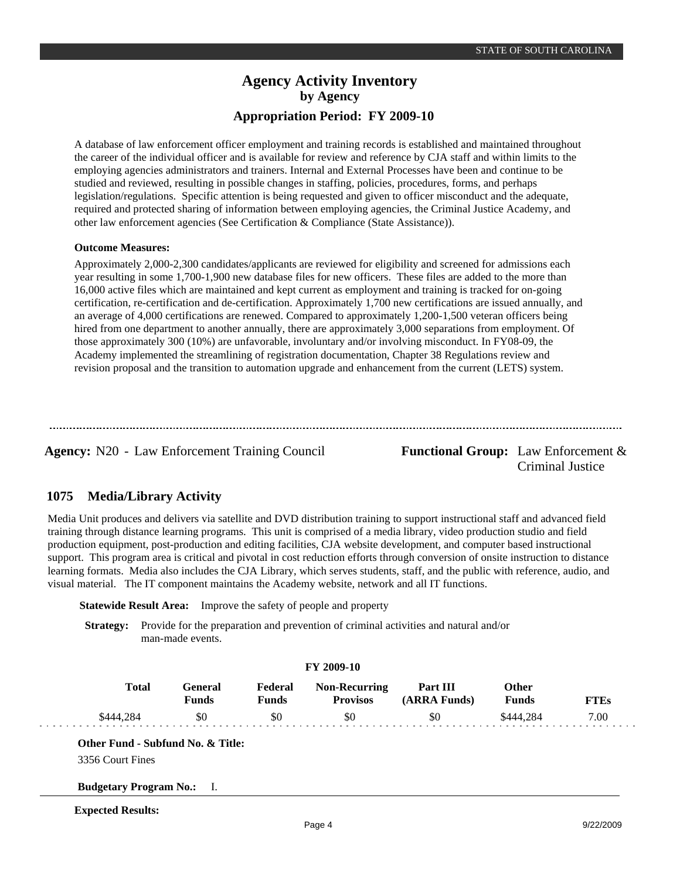A database of law enforcement officer employment and training records is established and maintained throughout the career of the individual officer and is available for review and reference by CJA staff and within limits to the employing agencies administrators and trainers. Internal and External Processes have been and continue to be studied and reviewed, resulting in possible changes in staffing, policies, procedures, forms, and perhaps legislation/regulations. Specific attention is being requested and given to officer misconduct and the adequate, required and protected sharing of information between employing agencies, the Criminal Justice Academy, and other law enforcement agencies (See Certification & Compliance (State Assistance)).

### **Outcome Measures:**

Approximately 2,000-2,300 candidates/applicants are reviewed for eligibility and screened for admissions each year resulting in some 1,700-1,900 new database files for new officers. These files are added to the more than 16,000 active files which are maintained and kept current as employment and training is tracked for on-going certification, re-certification and de-certification. Approximately 1,700 new certifications are issued annually, and an average of 4,000 certifications are renewed. Compared to approximately 1,200-1,500 veteran officers being hired from one department to another annually, there are approximately 3,000 separations from employment. Of those approximately 300 (10%) are unfavorable, involuntary and/or involving misconduct. In FY08-09, the Academy implemented the streamlining of registration documentation, Chapter 38 Regulations review and revision proposal and the transition to automation upgrade and enhancement from the current (LETS) system.

**Agency:** N20 - Law Enforcement Training Council Functional Group: Law Enforcement &

Criminal Justice

#### **Media/Library Activity 1075**

Media Unit produces and delivers via satellite and DVD distribution training to support instructional staff and advanced field training through distance learning programs. This unit is comprised of a media library, video production studio and field production equipment, post-production and editing facilities, CJA website development, and computer based instructional support. This program area is critical and pivotal in cost reduction efforts through conversion of onsite instruction to distance learning formats. Media also includes the CJA Library, which serves students, staff, and the public with reference, audio, and visual material. The IT component maintains the Academy website, network and all IT functions.

**Statewide Result Area:** Improve the safety of people and property

**Strategy:** Provide for the preparation and prevention of criminal activities and natural and/or man-made events.

|                                   |                                |                         | <b>FY 2009-10</b>                       |                          |                       |             |  |
|-----------------------------------|--------------------------------|-------------------------|-----------------------------------------|--------------------------|-----------------------|-------------|--|
| <b>Total</b>                      | <b>General</b><br><b>Funds</b> | Federal<br><b>Funds</b> | <b>Non-Recurring</b><br><b>Provisos</b> | Part III<br>(ARRA Funds) | Other<br><b>Funds</b> | <b>FTEs</b> |  |
| \$444,284                         | \$0                            | \$0                     | \$0                                     | \$0                      | \$444.284             | 7.00        |  |
| Other Fund - Subfund No. & Title: |                                |                         |                                         |                          |                       |             |  |

3356 Court Fines

**Budgetary Program No.:** I.

**Expected Results:**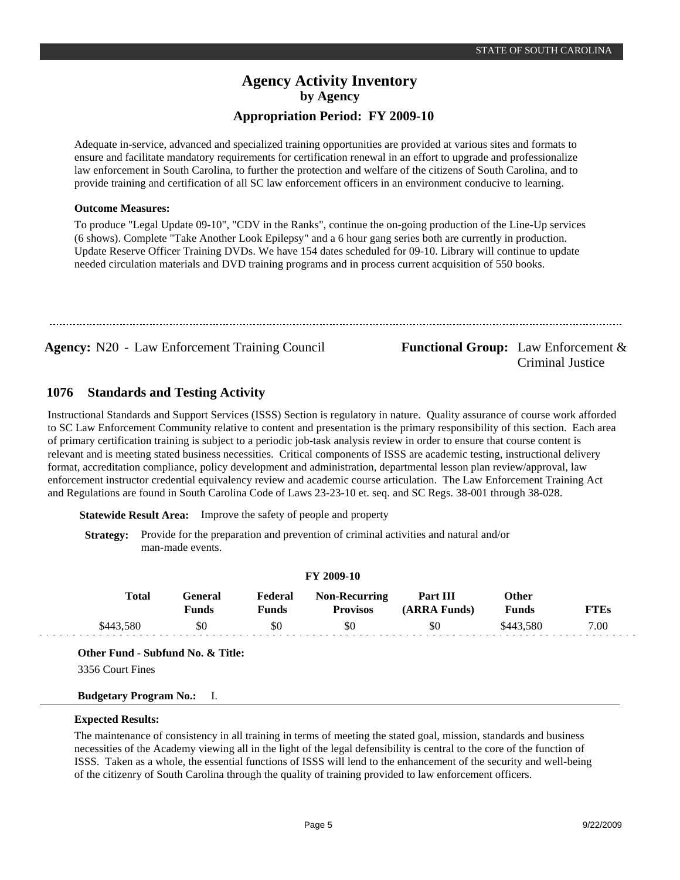Adequate in-service, advanced and specialized training opportunities are provided at various sites and formats to ensure and facilitate mandatory requirements for certification renewal in an effort to upgrade and professionalize law enforcement in South Carolina, to further the protection and welfare of the citizens of South Carolina, and to provide training and certification of all SC law enforcement officers in an environment conducive to learning.

### **Outcome Measures:**

To produce "Legal Update 09-10", "CDV in the Ranks", continue the on-going production of the Line-Up services (6 shows). Complete "Take Another Look Epilepsy" and a 6 hour gang series both are currently in production. Update Reserve Officer Training DVDs. We have 154 dates scheduled for 09-10. Library will continue to update needed circulation materials and DVD training programs and in process current acquisition of 550 books.

### 

**Agency:** N20 - Law Enforcement Training Council Functional Group: Law Enforcement &

Criminal Justice

#### **Standards and Testing Activity 1076**

Instructional Standards and Support Services (ISSS) Section is regulatory in nature. Quality assurance of course work afforded to SC Law Enforcement Community relative to content and presentation is the primary responsibility of this section. Each area of primary certification training is subject to a periodic job-task analysis review in order to ensure that course content is relevant and is meeting stated business necessities. Critical components of ISSS are academic testing, instructional delivery format, accreditation compliance, policy development and administration, departmental lesson plan review/approval, law enforcement instructor credential equivalency review and academic course articulation. The Law Enforcement Training Act and Regulations are found in South Carolina Code of Laws 23-23-10 et. seq. and SC Regs. 38-001 through 38-028.

**Statewide Result Area:** Improve the safety of people and property

**Strategy:** Provide for the preparation and prevention of criminal activities and natural and/or man-made events.

| FY 2009-10 |  |
|------------|--|
|------------|--|

| Total     | General<br>Funds | Federal<br>Funds | <b>Non-Recurring</b><br><b>Provisos</b> | Part III<br>(ARRA Funds) | <b>Other</b><br><b>Funds</b> | <b>FTEs</b> |
|-----------|------------------|------------------|-----------------------------------------|--------------------------|------------------------------|-------------|
| \$443.580 | \$0              | \$0              | \$0                                     | \$0                      | \$443,580                    | 7.00        |

**Other Fund - Subfund No. & Title:**

3356 Court Fines

### **Budgetary Program No.:** I.

### **Expected Results:**

The maintenance of consistency in all training in terms of meeting the stated goal, mission, standards and business necessities of the Academy viewing all in the light of the legal defensibility is central to the core of the function of ISSS. Taken as a whole, the essential functions of ISSS will lend to the enhancement of the security and well-being of the citizenry of South Carolina through the quality of training provided to law enforcement officers.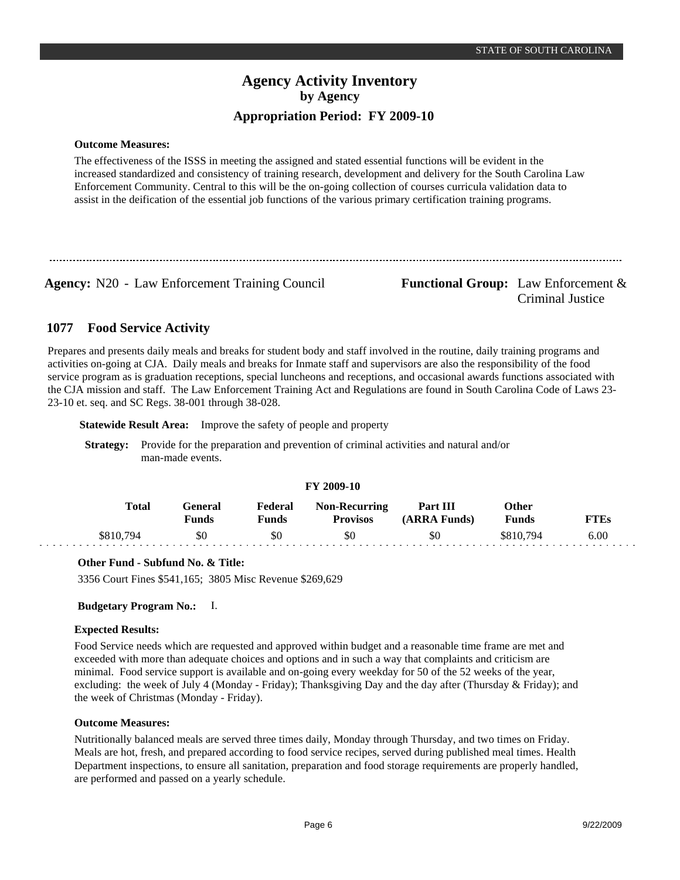### **Outcome Measures:**

The effectiveness of the ISSS in meeting the assigned and stated essential functions will be evident in the increased standardized and consistency of training research, development and delivery for the South Carolina Law Enforcement Community. Central to this will be the on-going collection of courses curricula validation data to assist in the deification of the essential job functions of the various primary certification training programs.

Agency: N20 - Law Enforcement Training Council Functional Group: Law Enforcement &

Criminal Justice

#### **Food Service Activity 1077**

Prepares and presents daily meals and breaks for student body and staff involved in the routine, daily training programs and activities on-going at CJA. Daily meals and breaks for Inmate staff and supervisors are also the responsibility of the food service program as is graduation receptions, special luncheons and receptions, and occasional awards functions associated with the CJA mission and staff. The Law Enforcement Training Act and Regulations are found in South Carolina Code of Laws 23- 23-10 et. seq. and SC Regs. 38-001 through 38-028.

**Statewide Result Area:** Improve the safety of people and property

**Strategy:** Provide for the preparation and prevention of criminal activities and natural and/or man-made events.

### **FY 2009-10**

| <b>Total</b> | General<br>Funds | Federal<br>Funds | <b>Non-Recurring</b><br><b>Provisos</b> | Part III<br>(ARRA Funds) | Other<br><b>Funds</b> | TTEs |
|--------------|------------------|------------------|-----------------------------------------|--------------------------|-----------------------|------|
| \$810,794    | \$0              | \$0              | \$0                                     | \$0                      | \$810.794             | 6.00 |

### **Other Fund - Subfund No. & Title:**

3356 Court Fines \$541,165; 3805 Misc Revenue \$269,629

### **Budgetary Program No.:** I.

### **Expected Results:**

Food Service needs which are requested and approved within budget and a reasonable time frame are met and exceeded with more than adequate choices and options and in such a way that complaints and criticism are minimal. Food service support is available and on-going every weekday for 50 of the 52 weeks of the year, excluding: the week of July 4 (Monday - Friday); Thanksgiving Day and the day after (Thursday & Friday); and the week of Christmas (Monday - Friday).

### **Outcome Measures:**

Nutritionally balanced meals are served three times daily, Monday through Thursday, and two times on Friday. Meals are hot, fresh, and prepared according to food service recipes, served during published meal times. Health Department inspections, to ensure all sanitation, preparation and food storage requirements are properly handled, are performed and passed on a yearly schedule.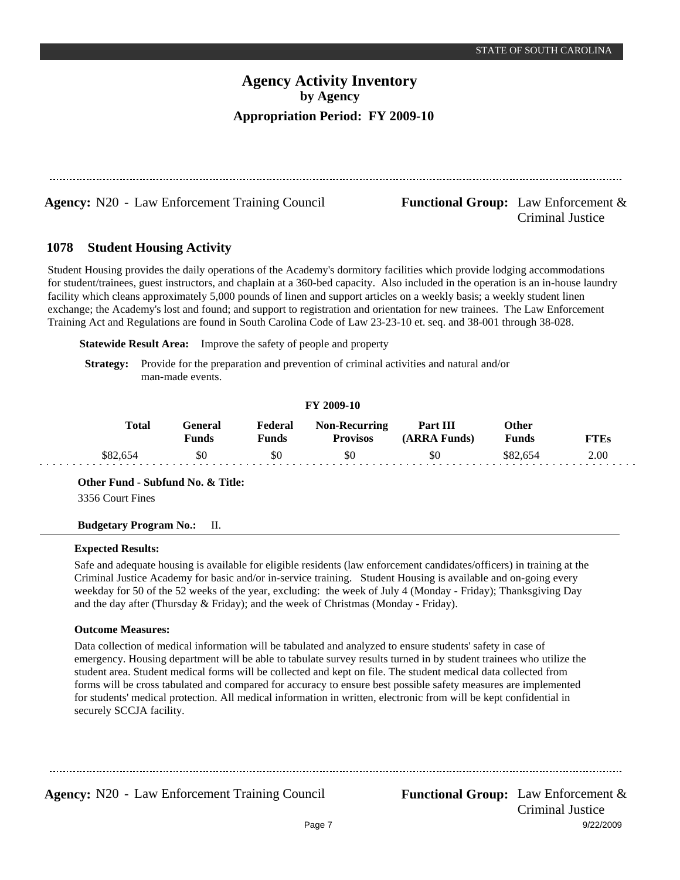**Agency:** N20 - Law Enforcement Training Council **Functional Group:** Law Enforcement & Criminal Justice

#### **Student Housing Activity 1078**

Student Housing provides the daily operations of the Academy's dormitory facilities which provide lodging accommodations for student/trainees, guest instructors, and chaplain at a 360-bed capacity. Also included in the operation is an in-house laundry facility which cleans approximately 5,000 pounds of linen and support articles on a weekly basis; a weekly student linen exchange; the Academy's lost and found; and support to registration and orientation for new trainees. The Law Enforcement Training Act and Regulations are found in South Carolina Code of Law 23-23-10 et. seq. and 38-001 through 38-028.

**Statewide Result Area:** Improve the safety of people and property

**Strategy:** Provide for the preparation and prevention of criminal activities and natural and/or man-made events.

### **FY 2009-10**

| <b>Total</b> | ÷eneral<br><b>Funds</b> | Federal<br><b>Funds</b> | <b>Non-Recurring</b><br><b>Provisos</b> | Part III<br>(ARRA Funds) | Other<br><b>Funds</b> | TTEs |
|--------------|-------------------------|-------------------------|-----------------------------------------|--------------------------|-----------------------|------|
| \$82,654     | \$0                     | \$0                     | \$0                                     | \$0                      | \$82,654              | 2.00 |

**Other Fund - Subfund No. & Title:**

3356 Court Fines

**Budgetary Program No.:** II.

### **Expected Results:**

Safe and adequate housing is available for eligible residents (law enforcement candidates/officers) in training at the Criminal Justice Academy for basic and/or in-service training. Student Housing is available and on-going every weekday for 50 of the 52 weeks of the year, excluding: the week of July 4 (Monday - Friday); Thanksgiving Day and the day after (Thursday & Friday); and the week of Christmas (Monday - Friday).

### **Outcome Measures:**

Data collection of medical information will be tabulated and analyzed to ensure students' safety in case of emergency. Housing department will be able to tabulate survey results turned in by student trainees who utilize the student area. Student medical forms will be collected and kept on file. The student medical data collected from forms will be cross tabulated and compared for accuracy to ensure best possible safety measures are implemented for students' medical protection. All medical information in written, electronic from will be kept confidential in securely SCCJA facility.

**Agency:** N20 - Law Enforcement Training Council **Functional Group:** Law Enforcement &

Criminal Justice Page 7 9/22/2009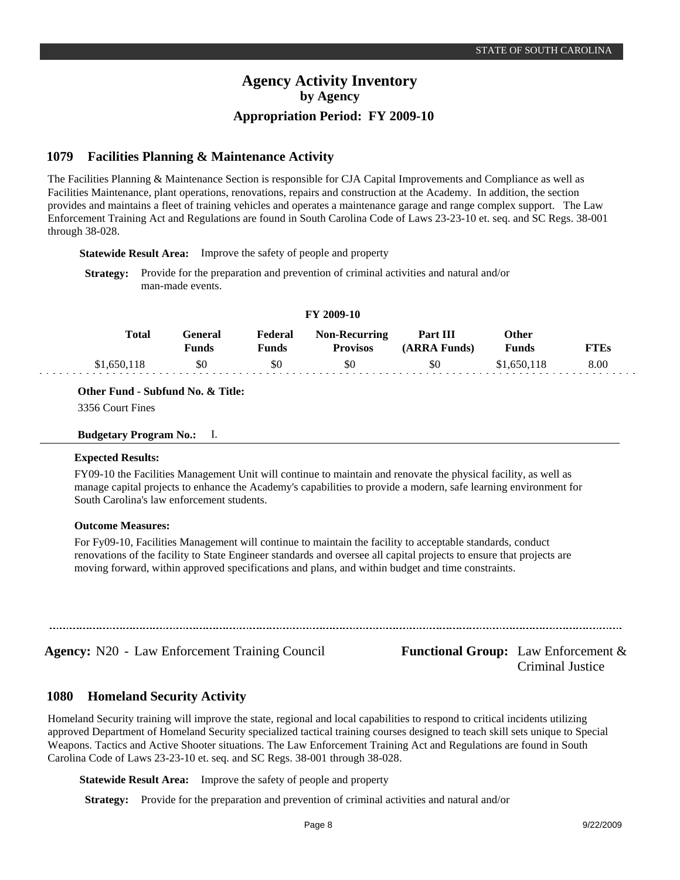#### **Facilities Planning & Maintenance Activity 1079**

The Facilities Planning & Maintenance Section is responsible for CJA Capital Improvements and Compliance as well as Facilities Maintenance, plant operations, renovations, repairs and construction at the Academy. In addition, the section provides and maintains a fleet of training vehicles and operates a maintenance garage and range complex support. The Law Enforcement Training Act and Regulations are found in South Carolina Code of Laws 23-23-10 et. seq. and SC Regs. 38-001 through 38-028.

**Statewide Result Area:** Improve the safety of people and property

**Strategy:** Provide for the preparation and prevention of criminal activities and natural and/or man-made events.

### **FY 2009-10**

| <b>Total</b> | General)<br>Funds | Federal<br><b>Funds</b> | <b>Non-Recurring</b><br><b>Provisos</b> | Part III<br>(ARRA Funds) | Other<br><b>Funds</b> | FTEs |  |
|--------------|-------------------|-------------------------|-----------------------------------------|--------------------------|-----------------------|------|--|
| \$1,650,118  | \$0               | \$0                     | \$0                                     | \$0                      | \$1,650,118           | 8.00 |  |

**Other Fund - Subfund No. & Title:**

3356 Court Fines

**Budgetary Program No.:** I.

### **Expected Results:**

FY09-10 the Facilities Management Unit will continue to maintain and renovate the physical facility, as well as manage capital projects to enhance the Academy's capabilities to provide a modern, safe learning environment for South Carolina's law enforcement students.

### **Outcome Measures:**

For Fy09-10, Facilities Management will continue to maintain the facility to acceptable standards, conduct renovations of the facility to State Engineer standards and oversee all capital projects to ensure that projects are moving forward, within approved specifications and plans, and within budget and time constraints.

Agency: N20 - Law Enforcement Training Council Functional Group: Law Enforcement &

Criminal Justice

#### **Homeland Security Activity 1080**

Homeland Security training will improve the state, regional and local capabilities to respond to critical incidents utilizing approved Department of Homeland Security specialized tactical training courses designed to teach skill sets unique to Special Weapons. Tactics and Active Shooter situations. The Law Enforcement Training Act and Regulations are found in South Carolina Code of Laws 23-23-10 et. seq. and SC Regs. 38-001 through 38-028.

**Statewide Result Area:** Improve the safety of people and property

**Strategy:** Provide for the preparation and prevention of criminal activities and natural and/or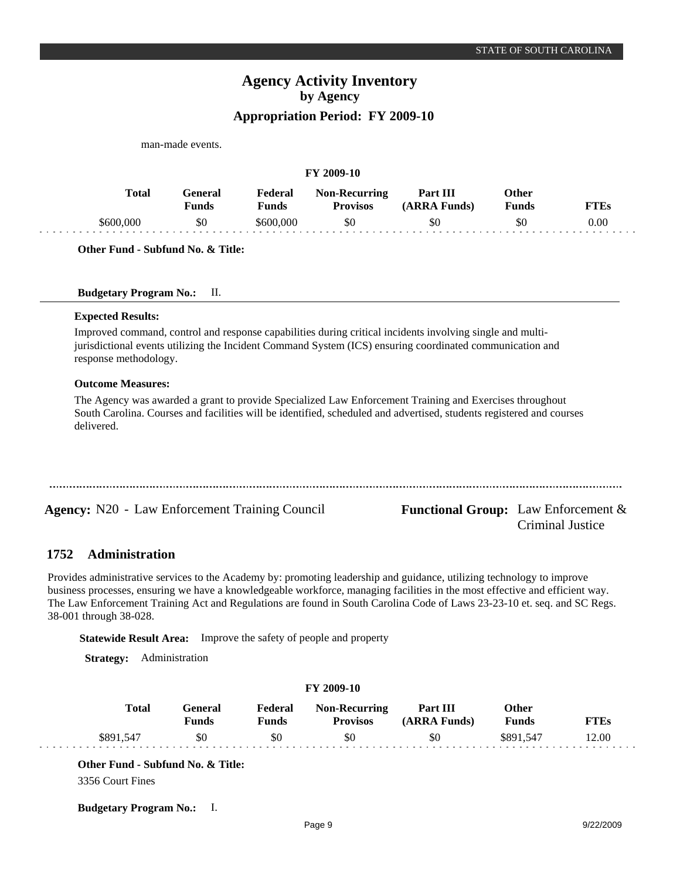|              | man-made events.               |                         |                                         |                          |                              |             |
|--------------|--------------------------------|-------------------------|-----------------------------------------|--------------------------|------------------------------|-------------|
|              |                                |                         | <b>FY 2009-10</b>                       |                          |                              |             |
| <b>Total</b> | <b>General</b><br><b>Funds</b> | Federal<br><b>Funds</b> | <b>Non-Recurring</b><br><b>Provisos</b> | Part III<br>(ARRA Funds) | <b>Other</b><br><b>Funds</b> | <b>FTEs</b> |
| \$600,000    | \$0                            | \$600,000               | \$0                                     | \$0                      | \$0                          | 0.00        |

**Other Fund - Subfund No. & Title:**

**Budgetary Program No.:** II.

### **Expected Results:**

Improved command, control and response capabilities during critical incidents involving single and multijurisdictional events utilizing the Incident Command System (ICS) ensuring coordinated communication and response methodology.

### **Outcome Measures:**

The Agency was awarded a grant to provide Specialized Law Enforcement Training and Exercises throughout South Carolina. Courses and facilities will be identified, scheduled and advertised, students registered and courses delivered.

Agency: N20 - Law Enforcement Training Council Functional Group: Law Enforcement &

Criminal Justice

#### **Administration 1752**

Provides administrative services to the Academy by: promoting leadership and guidance, utilizing technology to improve business processes, ensuring we have a knowledgeable workforce, managing facilities in the most effective and efficient way. The Law Enforcement Training Act and Regulations are found in South Carolina Code of Laws 23-23-10 et. seq. and SC Regs. 38-001 through 38-028.

**Statewide Result Area:** Improve the safety of people and property

**Strategy:** Administration

| <b>Total</b> | General<br><b>Funds</b> | Federal<br><b>Funds</b> | <b>Non-Recurring</b><br><b>Provisos</b> | Part III<br>(ARRA Funds) | <b>Other</b><br><b>Funds</b> | <b>FTEs</b> |
|--------------|-------------------------|-------------------------|-----------------------------------------|--------------------------|------------------------------|-------------|
| \$891,547    | \$0                     | \$0                     | \$0                                     | \$0                      | \$891.547                    | 12.00       |

**Other Fund - Subfund No. & Title:** 3356 Court Fines

**Budgetary Program No.:** I.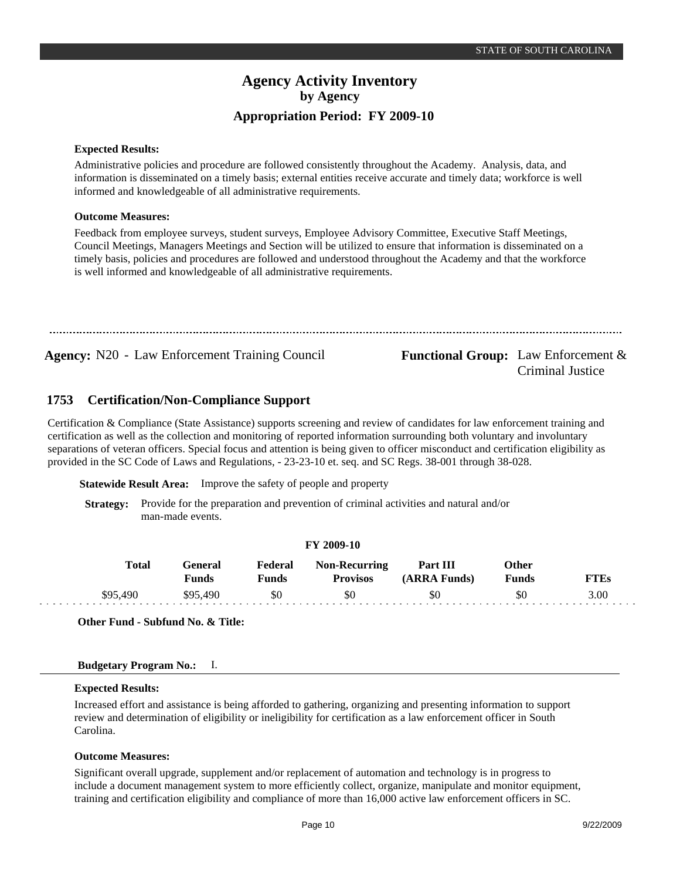Criminal Justice

# **Agency Activity Inventory by Agency Appropriation Period: FY 2009-10**

### **Expected Results:**

Administrative policies and procedure are followed consistently throughout the Academy. Analysis, data, and information is disseminated on a timely basis; external entities receive accurate and timely data; workforce is well informed and knowledgeable of all administrative requirements.

### **Outcome Measures:**

Feedback from employee surveys, student surveys, Employee Advisory Committee, Executive Staff Meetings, Council Meetings, Managers Meetings and Section will be utilized to ensure that information is disseminated on a timely basis, policies and procedures are followed and understood throughout the Academy and that the workforce is well informed and knowledgeable of all administrative requirements.

Agency: N20 - Law Enforcement Training Council Functional Group: Law Enforcement &

#### **Certification/Non-Compliance Support 1753**

Certification & Compliance (State Assistance) supports screening and review of candidates for law enforcement training and certification as well as the collection and monitoring of reported information surrounding both voluntary and involuntary separations of veteran officers. Special focus and attention is being given to officer misconduct and certification eligibility as provided in the SC Code of Laws and Regulations, - 23-23-10 et. seq. and SC Regs. 38-001 through 38-028.

**FY 2009-10**

**Statewide Result Area:** Improve the safety of people and property

**Strategy:** Provide for the preparation and prevention of criminal activities and natural and/or man-made events.

| 1 1 2002 10 |                         |                         |                                         |                          |                       |             |  |
|-------------|-------------------------|-------------------------|-----------------------------------------|--------------------------|-----------------------|-------------|--|
| Total       | General<br><b>Funds</b> | Federal<br><b>Funds</b> | <b>Non-Recurring</b><br><b>Provisos</b> | Part III<br>(ARRA Funds) | Other<br><b>Funds</b> | <b>FTEs</b> |  |
| \$95,490    | \$95,490                | \$0                     | 80                                      | \$0                      | \$0                   | 3.00        |  |

**Other Fund - Subfund No. & Title:**

### **Budgetary Program No.:** I.

### **Expected Results:**

a a a a a a a

Increased effort and assistance is being afforded to gathering, organizing and presenting information to support review and determination of eligibility or ineligibility for certification as a law enforcement officer in South Carolina.

### **Outcome Measures:**

Significant overall upgrade, supplement and/or replacement of automation and technology is in progress to include a document management system to more efficiently collect, organize, manipulate and monitor equipment, training and certification eligibility and compliance of more than 16,000 active law enforcement officers in SC.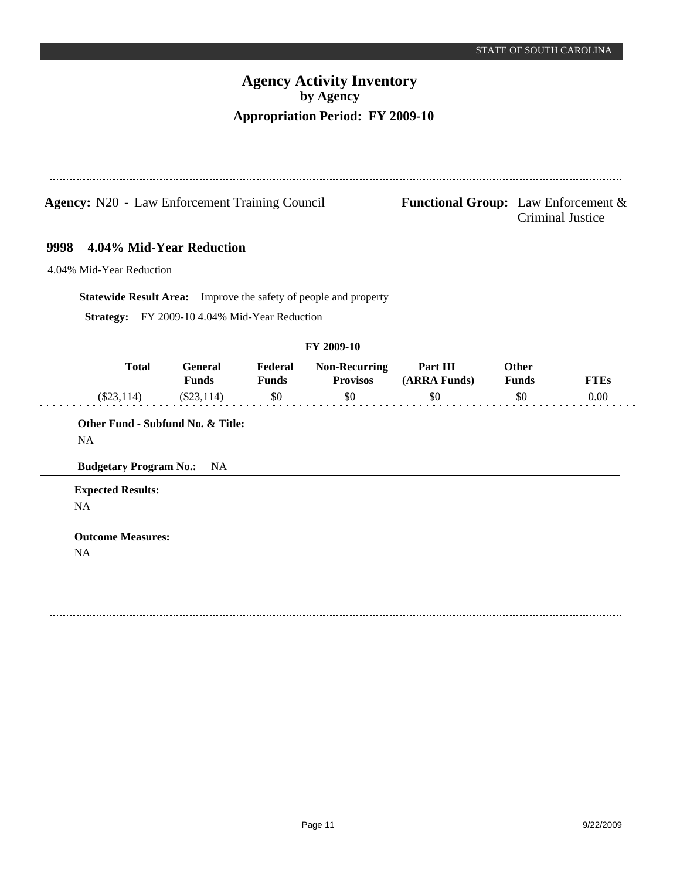| <b>Agency:</b> N20 - Law Enforcement Training Council |                                   |                                     |                         |                                                                         | <b>Functional Group:</b> Law Enforcement & |                       | <b>Criminal Justice</b> |
|-------------------------------------------------------|-----------------------------------|-------------------------------------|-------------------------|-------------------------------------------------------------------------|--------------------------------------------|-----------------------|-------------------------|
| 9998                                                  | 4.04% Mid-Year Reduction          |                                     |                         |                                                                         |                                            |                       |                         |
|                                                       | 4.04% Mid-Year Reduction          |                                     |                         |                                                                         |                                            |                       |                         |
|                                                       | <b>Strategy:</b>                  | FY 2009-10 4.04% Mid-Year Reduction |                         | <b>Statewide Result Area:</b> Improve the safety of people and property |                                            |                       |                         |
|                                                       |                                   |                                     |                         | FY 2009-10                                                              |                                            |                       |                         |
|                                                       | <b>Total</b>                      | <b>General</b><br><b>Funds</b>      | Federal<br><b>Funds</b> | <b>Non-Recurring</b><br><b>Provisos</b>                                 | Part III<br>(ARRA Funds)                   | Other<br><b>Funds</b> | <b>FTEs</b>             |
|                                                       | $(\$23,114)$                      | $(\$23,114)$                        | \$0                     | \$0                                                                     | \$0                                        | \$0                   | 0.00                    |
|                                                       | Other Fund - Subfund No. & Title: |                                     |                         |                                                                         |                                            |                       |                         |
|                                                       | NA                                |                                     |                         |                                                                         |                                            |                       |                         |
|                                                       | <b>Budgetary Program No.:</b>     | <b>NA</b>                           |                         |                                                                         |                                            |                       |                         |
|                                                       | <b>Expected Results:</b>          |                                     |                         |                                                                         |                                            |                       |                         |
|                                                       | <b>NA</b>                         |                                     |                         |                                                                         |                                            |                       |                         |
|                                                       | <b>Outcome Measures:</b>          |                                     |                         |                                                                         |                                            |                       |                         |
|                                                       | NA                                |                                     |                         |                                                                         |                                            |                       |                         |
|                                                       |                                   |                                     |                         |                                                                         |                                            |                       |                         |
|                                                       |                                   |                                     |                         |                                                                         |                                            |                       |                         |